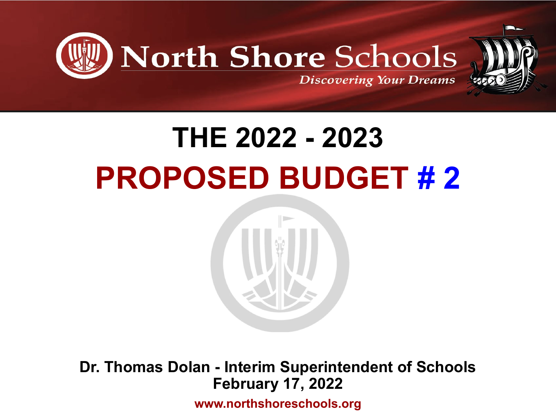



# **THE 2022 - 2023 PROPOSED BUDGET # 2**



**Dr. Thomas Dolan - Interim Superintendent of Schools February 17, 2022 www.northshoreschools.org**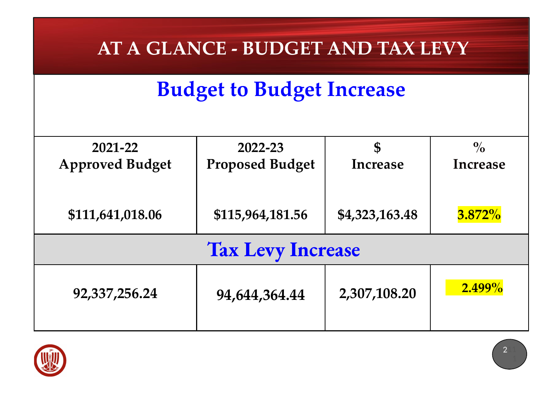### **2021-22 TOTAL BUDGET AT A GLANCE AT A GLANCE - BUDGET AND TAX LEVY**

# **Budget to Budget Increase**

| 2021-22                  | 2022-23                | \$             | $\%$      |  |  |  |
|--------------------------|------------------------|----------------|-----------|--|--|--|
| <b>Approved Budget</b>   | <b>Proposed Budget</b> | Increase       | Increase  |  |  |  |
|                          |                        |                |           |  |  |  |
| \$111,641,018.06         | \$115,964,181.56       | \$4,323,163.48 | $3.872\%$ |  |  |  |
| <b>Tax Levy Increase</b> |                        |                |           |  |  |  |
| 92, 337, 256. 24         | 94,644,364.44          | 2,307,108.20   | $2.499\%$ |  |  |  |

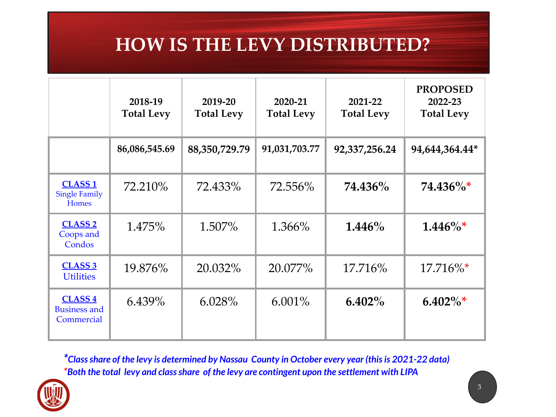# **HOW IS THE LEVY DISTRIBUTED?**

|                                                       | 2018-19<br><b>Total Levy</b> | 2019-20<br><b>Total Levy</b> | 2020-21<br><b>Total Levy</b> | 2021-22<br><b>Total Levy</b> | <b>PROPOSED</b><br>2022-23<br><b>Total Levy</b> |
|-------------------------------------------------------|------------------------------|------------------------------|------------------------------|------------------------------|-------------------------------------------------|
|                                                       | 86,086,545.69                | 88, 350, 729. 79             | 91,031,703.77                | 92,337,256.24                | 94,644,364.44*                                  |
| <b>CLASS1</b><br><b>Single Family</b><br><b>Homes</b> | 72.210%<br>72.433%           |                              | 72.556%                      | 74.436%                      | 74.436%*                                        |
| <b>CLASS 2</b><br>Coops and<br>Condos                 | 1.475%                       |                              | 1.366%                       | $1.446\%$                    | $1.446\%$ *                                     |
| <b>CLASS 3</b><br><b>Utilities</b>                    | 19.876%                      |                              | 20.077%                      | 17.716\%                     | $17.716\%$ *                                    |
| <b>CLASS 4</b><br><b>Business and</b><br>Commercial   | 6.439%                       |                              | $6.001\%$                    | $6.402\%$                    | $6.402\%$ *                                     |

*\*Class share of the levy is determined by Nassau County in October every year (this is 2021-22 data) \*Both the total levy and class share of the levy are contingent upon the settlement with LIPA*

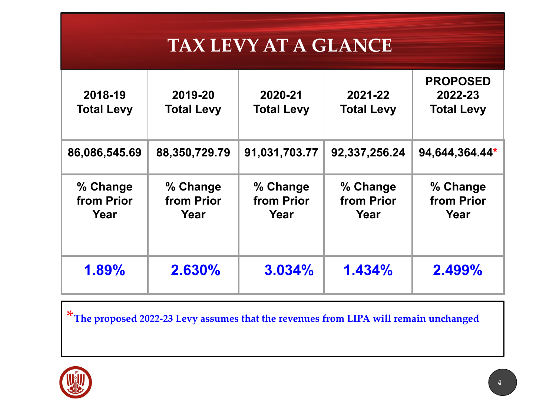# **TAX LEVY AT A GLANCE TAX LEVY AT A GLANCE**

| 2018-19<br><b>Total Levy</b>   | 2019-20<br><b>Total Levy</b>   | 2020-21<br><b>Total Levy</b>                                     | 2021-22<br><b>Total Levy</b> | <b>PROPOSED</b><br>2022-23<br><b>Total Levy</b> |
|--------------------------------|--------------------------------|------------------------------------------------------------------|------------------------------|-------------------------------------------------|
| 86,086,545.69                  | 88,350,729.79                  | 91,031,703.77                                                    | 92,337,256.24                | 94,644,364.44*                                  |
| % Change<br>from Prior<br>Year | % Change<br>from Prior<br>Year | % Change<br>% Change<br>from Prior<br>from Prior<br>Year<br>Year |                              | % Change<br>from Prior<br>Year                  |
| 1.89%                          | 2.630%                         | 3.034%                                                           | 1.434%                       | 2.499%                                          |

**\*The proposed 2022-23 Levy assumes that the revenues from LIPA will remain unchanged**

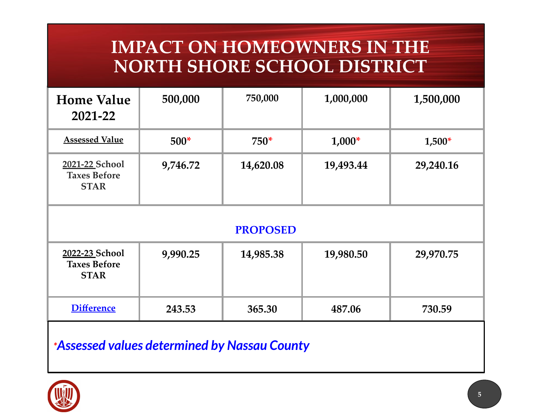#### **IMPACT ON HOMEOWNERS IN THE IMPACT ON HOMEOWNERS IN THE UNTIL SHORE SCHOOL DISTRICT NORTH SHORE SCHOOL DISTRICT**

| <b>Home Value</b><br>2021-22                         | 500,000          | 750,000   | 1,000,000 | 1,500,000 |  |  |  |  |
|------------------------------------------------------|------------------|-----------|-----------|-----------|--|--|--|--|
| <b>Assessed Value</b>                                | $500*$<br>$750*$ |           | $1,000*$  | $1,500*$  |  |  |  |  |
| 2021-22 School<br><b>Taxes Before</b><br><b>STAR</b> | 9,746.72         | 14,620.08 | 19,493.44 | 29,240.16 |  |  |  |  |
|                                                      | <b>PROPOSED</b>  |           |           |           |  |  |  |  |
| 2022-23 School<br><b>Taxes Before</b><br><b>STAR</b> | 9,990.25         | 14,985.38 | 19,980.50 | 29,970.75 |  |  |  |  |
| <b>Difference</b>                                    | 243.53           | 365.30    | 487.06    | 730.59    |  |  |  |  |

*\*Assessed values determined by Nassau County*

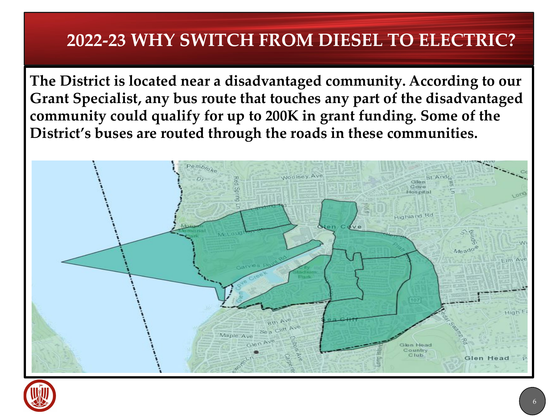## **2022-23 WHY SWITCH FROM DIESEL TO ELECTRIC?**

**The District is located near a disadvantaged community. According to our Grant Specialist, any bus route that touches any part of the disadvantaged community could qualify for up to 200K in grant funding. Some of the District's buses are routed through the roads in these communities.**



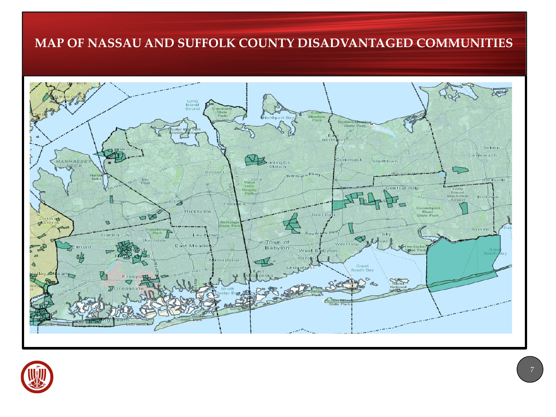#### **MAP OF NASSAU AND SUFFOLK COUNTY DISADVANTAGED COMMUNITIES**



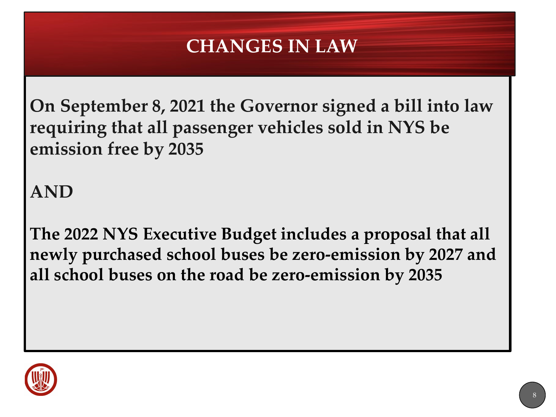# **CHANGES IN LAW**

**On September 8, 2021 the Governor signed a bill into law requiring that all passenger vehicles sold in NYS be emission free by 2035**

**AND**

**The 2022 NYS Executive Budget includes a proposal that all newly purchased school buses be zero-emission by 2027 and all school buses on the road be zero-emission by 2035**

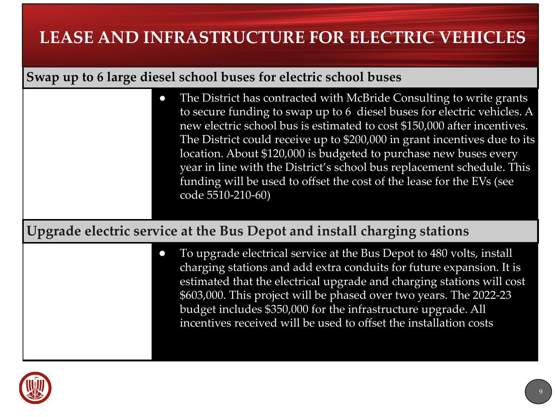# **LEASE AND INFRASTRUCTURE FOR ELECTRIC VEHICLES**

#### **Swap up to 6 large diesel school buses for electric school buses**

| The District has contracted with McBride Consulting to write grants        |
|----------------------------------------------------------------------------|
| to secure funding to swap up to 6 diesel buses for electric vehicles. A    |
| new electric school bus is estimated to cost \$150,000 after incentives.   |
| The District could receive up to $$200,000$ in grant incentives due to its |
| location. About \$120,000 is budgeted to purchase new buses every          |
| year in line with the District's school bus replacement schedule. This     |
| funding will be used to offset the cost of the lease for the EVs (see      |
| code 5510-210-60)                                                          |

#### **Upgrade electric service at the Bus Depot and install charging stations**

To upgrade electrical service at the Bus Depot to 480 volts, install charging stations and add extra conduits for future expansion. It is estimated that the electrical upgrade and charging stations will cost \$603,000. This project will be phased over two years. The 2022-23 budget includes \$350,000 for the infrastructure upgrade. All incentives received will be used to offset the installation costs

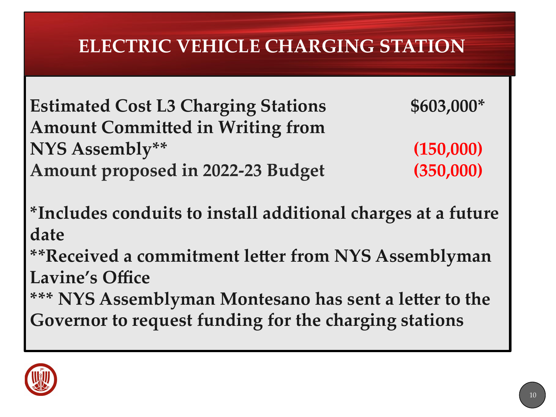# **ELECTRIC VEHICLE CHARGING STATION**

**Estimated Cost L3 Charging Stations \$603,000\* Amount Committed in Writing from NYS Assembly\*\* (150,000) Amount proposed in 2022-23 Budget (350,000)**

**\*Includes conduits to install additional charges at a future date**

**\*\*Received a commitment letter from NYS Assemblyman Lavine's Office**

**\*\*\* NYS Assemblyman Montesano has sent a letter to the Governor to request funding for the charging stations**

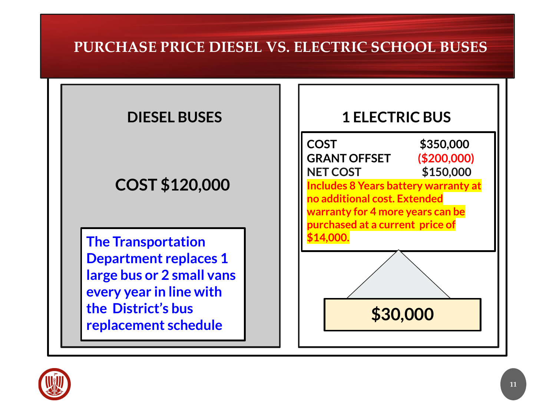#### **PURCHASE PRICE DIESEL VS. ELECTRIC SCHOOL BUSES**



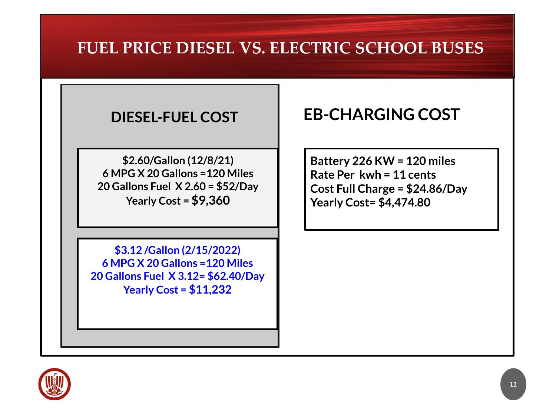#### **FUEL PRICE DIESEL VS. ELECTRIC SCHOOL BUSES**

**\$2.60/Gallon (12/8/21) 6 MPG X 20 Gallons =120 Miles 20 Gallons Fuel X 2.60 = \$52/Day Yearly Cost = \$9,360**

**\$3.12 /Gallon (2/15/2022) 6 MPG X 20 Gallons =120 Miles 20 Gallons Fuel X 3.12= \$62.40/Day Yearly Cost = \$11,232**

#### **DIESEL-FUEL COST EB-CHARGING COST**

**Battery 226 KW = 120 miles Rate Per kwh = 11 cents Cost Full Charge = \$24.86/Day Yearly Cost= \$4,474.80**

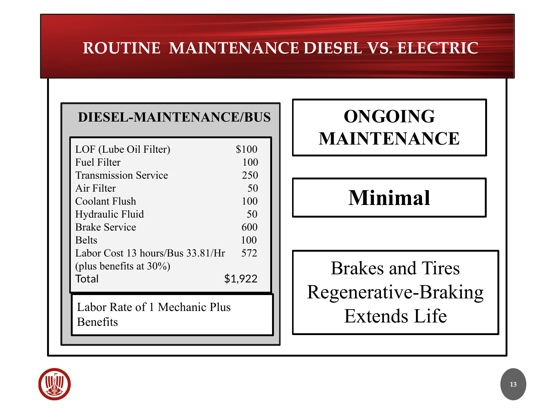#### **ROUTINE MAINTENANCE DIESEL VS. ELECTRIC**

#### **DIESEL-MAINTENANCE/BUS ONGOING**

| LOF (Lube Oil Filter)            | \$100   |
|----------------------------------|---------|
| <b>Fuel Filter</b>               | 100     |
| <b>Transmission Service</b>      | 250     |
| Air Filter                       | 50      |
| Coolant Flush                    | 100     |
| Hydraulic Fluid                  | 50      |
| <b>Brake Service</b>             | 600     |
| <b>Belts</b>                     | 100     |
| Labor Cost 13 hours/Bus 33.81/Hr | 572     |
| (plus benefits at $30\%$ )       |         |
| Total                            | \$1,922 |
|                                  |         |

Labor Rate of 1 Mechanic Plus<br> **Extends Life** Benefits

# **MAINTENANCE**

# **Minimal**

Brakes and Tires Regenerative-Braking